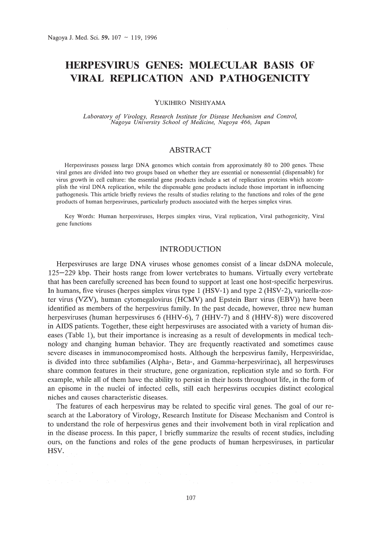# **HERPESVIRUS GENES: MOLECULAR BASIS OF VIRAL REPLICATION AND PATHOGENICITY**

YUKIHIRO NISHIYAMA

*Laboratory of Virology, Research Institute for Disease Mechanism and Control, Nagoya University School of Medicine, Nagoya* 466, *Japan*

# ABSTRACT

Herpesviruses possess large DNA genomes which contain from approximately 80 to 200 genes. These viral genes are divided into two groups based on whether they are essential or nonessential (dispensable) for virus growth in cell culture: the essential gene products include a set of replication proteins which accomplish the viral DNA replication, while the dispensable gene products include those important in influencing pathogenesis. This article briefly reviews the results of studies relating to the functions and roles of the gene products of human herpesviruses, particularly products associated with the herpes simplex virus.

Key Words: Human herpesviruses, Herpes simplex virus, Viral replication, Viral pathogenicity, Viral gene functions

## INTRODUCTION

Herpesviruses are large DNA viruses whose genomes consist of a linear dsDNA molecule, 125-229 kbp. Their hosts range from lower vertebrates to humans. Virtually every vertebrate that has been carefully screened has been found to support at least one host-specific herpesvirus. In humans, five viruses (herpes simplex virus type 1 (HSV-1) and type 2 (HSV-2), varicella-zoster virus (VZV), human cytomegalovirus (HCMV) and Epstein Barr virus (EBV)) have been identified as members of the herpesvirus family. In the past decade, however, three new human herpesviruses (human herpesviruses 6 (HHV-6), 7 (HHV-7) and 8 (HHV-8)) were discovered in AIDS patients. Together, these eight herpesviruses are associated with a variety of human diseases (Table 1), but their importance is increasing as a result of developments in medical technology and changing human behavior. They are frequently reactivated and sometimes cause severe diseases in immunocompromised hosts. Although the herpesvirus family, Herpesviridae, is divided into three subfamilies (Alpha-, Beta-, and Gamma-herpesvirinae), all herpesviruses share common features in their structure, gene organization, replication style and so forth. For example, while all of them have the ability to persist in their hosts throughout life, in the form of an episome in the nuclei of infected cells, still each herpesvirus occupies distinct ecological niches and causes characteristic diseases.

The features of each herpesvirus may be related to specific viral genes. The goal of our research at the Laboratory of Virology, Research Institute for Disease Mechanism and Control is to understand the role of herpesvirus genes and their involvement both in viral replication and in the disease process. In this paper, I briefly summarize the results of recent studies, including ours, on the functions and roles of the gene products of human herpesviruses, in particular HSV.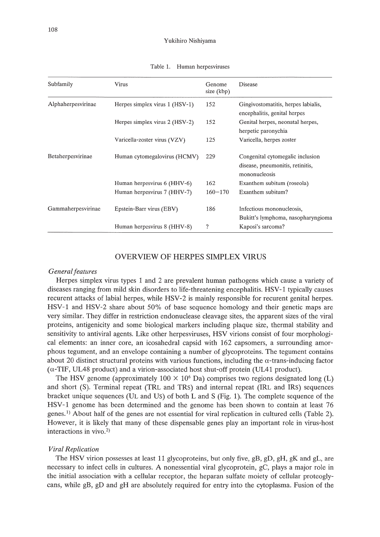| Subfamily          | <b>Virus</b>                     | Genome<br>size (kbp) | Disease                                                                               |
|--------------------|----------------------------------|----------------------|---------------------------------------------------------------------------------------|
| Alphaherpesvirinae | Herpes simplex virus $1$ (HSV-1) | 152                  | Gingivostomatitis, herpes labialis,<br>encephalitis, genital herpes                   |
|                    | Herpes simplex virus 2 (HSV-2)   | 152                  | Genital herpes, neonatal herpes,<br>herpetic paronychia                               |
|                    | Varicella-zoster virus (VZV)     | 125                  | Varicella, herpes zoster                                                              |
| Betaherpesvirinae  | Human cytomegalovirus (HCMV)     | 229                  | Congenital cytomegalic inclusion<br>disease, pneumonitis, retinitis,<br>mononucleosis |
|                    | Human herpesvirus 6 (HHV-6)      | 162                  | Exanthem subitum (roseola)                                                            |
|                    | Human herpesvirus 7 (HHV-7)      | $160 - 170$          | Exanthem subitum?                                                                     |
| Gammaherpesvirinae | Epstein-Barr virus (EBV)         | 186                  | Infectious mononucleosis,<br>Bukitt's lymphoma, nasopharyngioma                       |
|                    | Human herpesvirus 8 (HHV-8)      | ?                    | Kaposi's sarcoma?                                                                     |

Table 1. Human herpesviruses

# OVERVIEW OF HERPES SIMPLEX VIRUS

#### *General features*

Herpes simplex virus types 1 and 2 are prevalent human pathogens which cause a variety of diseases ranging from mild skin disorders to life-threatening encephalitis. HSV-1 typically causes recurent attacks of labial herpes, while HSV-2 is mainly responsible for recurent genital herpes. HSV-1 and HSV-2 share about 50% of base sequence homology and their genetic maps are very similar. They differ in restriction endonuclease cleavage sites, the apparent sizes of the viral proteins, antigenicity and some biological markers including plaque size, thermal stability and sensitivity to antiviral agents. Like other herpesviruses, HSV virions consist of four morphological elements: an inner core, an icosahedral capsid with 162 capsomers, a surrounding amorphous tegument, and an envelope containing a number of glycoproteins. The tegument contains about 20 distinct structural proteins with various functions, including the  $\alpha$ -trans-inducing factor  $(\alpha$ -TIF, UL48 product) and a virion-associated host shut-off protein (UL41 product).

The HSV genome (approximately  $100 \times 10^6$  Da) comprises two regions designated long (L) and short (S). Terminal repeat (TRL and TRS) and internal repeat (IRL and IRS) sequences bracket unique sequences (UL and US) of both Land S (Fig. 1). The complete sequence of the HSV-1 genome has been determined and the genome has been shown to contain at least 76 genes.<sup>1</sup>) About half of the genes are not essential for viral replication in cultured cells (Table 2). However, it is likely that many of these dispensable genes play an important role in virus-host interactions in vivo. 2)

## *Viral Replication*

The HSV virion possesses at least 11 glycoproteins, but only five, gB, gD, gH, gK and gL, are necessary to infect cells in cultures. A nonessential viral glycoprotein, gC, plays a major role in the initial association with a cellular receptor, the heparan sulfate moiety of cellular proteoglycans, while gB, gD and gH are absolutely required for entry into the cytoplasma. Fusion of the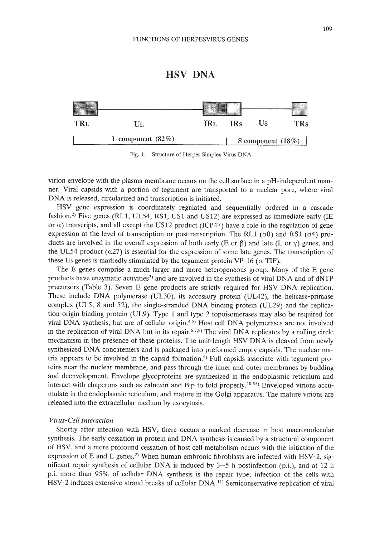# HSV DNA



Fig. 1. Structure of Herpes Simplex Virus DNA

virion envelope with the plasma membrane occurs on the cell surface in a pH-independent manner. Viral capsids with a portion of tegument are transported to a nuclear pore, where viral DNA is released, circularized and transcription is initiated.

HSV gene expression is coordinately regulated and sequentially ordered in a cascade fashion.<sup>2)</sup> Five genes (RL1, UL54, RS1, US1 and US12) are expressed as immediate early (IE or  $\alpha$ ) transcripts, and all except the US12 product (ICP47) have a role in the regulation of gene expression at the level of transcription or posttranscription. The RL1  $(\alpha 0)$  and RS1  $(\alpha 4)$  products are involved in the overall expression of both early (E or  $\beta$ ) and late (L or  $\gamma$ ) genes, and the UL54 product  $(\alpha 27)$  is essential for the expression of some late genes. The transcription of these IE genes is markedly stimulated by the tegument protein VP-16 ( $\alpha$ -TIF).

The E genes comprise a much larger and more heterogeneous group. Many of the E gene products have enzymatic activities<sup>3</sup>) and are involved in the synthesis of viral DNA and of dNTP precursors (Table 3). Seven E gene products are strictly required for HSV DNA replication. These include DNA polymerase (UL30), its accessory protein (UL42), the helicase-primase complex (UL5, 8 and 52), the single-stranded DNA binding protein (UL29) and the replication-origin binding protein (UL9). Type 1 and type 2 topoisomerases may also be required for viral DNA synthesis, but are of cellular origin. 4,5) Host cell DNA polymerases are not involved in the replication of viral DNA but in its repair.  $6,7,8$ ) The viral DNA replicates by a rolling circle mechanism in the presence of these proteins. The unit-length HSV DNA is cleaved from newly synthesized DNA concatemers and is packaged into preformed empty capsids. The nuclear matrix appears to be involved in the capsid formation. 9) Full capsids associate with tegument proteins near the nuclear membrane, and pass through the inner and outer membranes by budding and deenvelopment. Envelope glycoproteins are synthesized in the endoplasmic reticulum and interact with chaperons such as calnexin and Bip to fold properly.<sup>10,55)</sup> Enveloped virions accumulate in the endoplasmic reticulum, and mature in the Golgi apparatus. The mature virions are released into the extracellular medium by exocytosis.

# *Virus-Cell Interaction*

Shortly after infection with HSV, there occurs a marked decrease in host macromolecular synthesis. The early cessation in protein and DNA synthesis is caused by a structural component of HSV, and a more profound cessation of host cell metabolism occurs with the initiation of the expression of E and L genes.<sup>2)</sup> When human embronic fibroblasts are infected with HSV-2, significant repair synthesis of cellular DNA is induced by  $3-5$  h postinfection (p.i.), and at 12 h p.i. more than 95% of cellular DNA synthesis is the repair type; infection of the cells with HSV-2 induces extensive strand breaks of cellular DNA.'l) Semiconservative replication of viral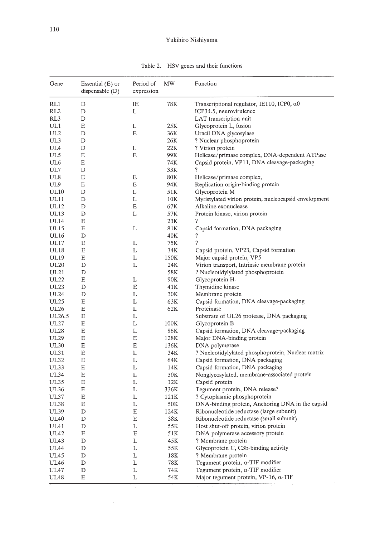| Gene             | Essential $(E)$ or<br>dispensable $(D)$ | Period of<br>expression | MW   | Function                                              |
|------------------|-----------------------------------------|-------------------------|------|-------------------------------------------------------|
| RL1              | D                                       | IE                      | 78K  | Transcriptional regulator, IE110, ICP0, $\alpha$ 0    |
| RL2              | D                                       | L                       |      | ICP34.5, neurovirulence                               |
| RL3              | D                                       |                         |      | LAT transcription unit                                |
| UL1              | Е                                       | L                       | 25K  | Glycoprotein L, fusion                                |
| UL2              | D                                       | Е                       | 36K  | Uracil DNA glycosylase                                |
| UL3              | D                                       |                         | 26K  | ? Nuclear phosphoprotein                              |
| UL4              | D                                       | L                       | 22K  | ? Virion protein                                      |
| UL5              | Е                                       | Ε                       | 99K  | Helicase/primase complex, DNA-dependent ATPase        |
| UL6              | E                                       |                         | 74K  | Capsid protein, VP11, DNA cleavage-packaging          |
| UL7              | D                                       |                         | 33K  | ?                                                     |
| UL8              | Е                                       | Е                       | 80K  | Helicase/primase complex,                             |
| UL9              | Е                                       | E                       | 94K  | Replication origin-binding protein                    |
| <b>UL10</b>      | D                                       | L                       | 51K  | Glycoprotein M                                        |
| UL11             | D                                       | L                       | 10K  | Myristylated virion protein, nucleocapsid envelopment |
| UL12             | D                                       | E                       | 67K  | Alkaline exonuclease                                  |
| <b>UL13</b>      | D                                       | L                       | 57K  | Protein kinase, virion protein                        |
| UL <sub>14</sub> | Ε                                       |                         | 23K  | $\overline{\mathcal{L}}$                              |
| <b>UL15</b>      | Ε                                       | L                       | 81K  | Capsid formation, DNA packaging                       |
| <b>UL16</b>      | D                                       |                         | 40K  | ?                                                     |
| <b>UL17</b>      | E                                       | L                       | 75K  | 9                                                     |
| UL18             | Ε                                       | L                       | 34K  | Capsid protein, VP23, Capsid formation                |
| <b>UL19</b>      | Ε                                       | L                       | 150K | Major capsid protein, VP5                             |
| <b>UL20</b>      | D                                       | L                       | 24K  | Virion transport, Intrinsic membrane protein          |
| <b>UL21</b>      | D                                       |                         | 58K  | ? Nucleotidylylated phosphoprotein                    |
| <b>UL22</b>      | Ε                                       | L                       | 90K  | Glycoprotein H                                        |
| <b>UL23</b>      | D                                       | E                       | 41K  | Thymidine kinase                                      |
| <b>UL24</b>      | D                                       | L                       | 30K  | Membrane protein                                      |
| <b>UL25</b>      | Е                                       | L                       | 63K  | Capsid formation, DNA cleavage-packaging              |
| UL26             | Ε                                       | L                       | 62K  | Proteinase                                            |
| UL26.5           | Е                                       | L                       |      | Substrate of UL26 protease, DNA packaging             |
| <b>UL27</b>      | Е                                       | L                       | 100K | Glycoprotein B                                        |
| <b>UL28</b>      | E                                       | L                       | 86K  | Capsid formation, DNA cleavage-packaging              |
| UL29             | Ε                                       | Е                       | 128K | Major DNA-binding protein                             |
| <b>UL30</b>      | $\mathbf E$                             | Е                       | 136K | DNA polymerase                                        |
| UL31             | Ε                                       | L                       | 34K  | ? Nucleotidylylated phosphoprotein, Nuclear matrix    |
| <b>UL32</b>      | $\mathop{\hbox{\bf E}}$                 | L                       | 64K  | Capsid formation, DNA packaging                       |
| UL33             | E                                       | L                       | 14K  | Capsid formation, DNA packaging                       |
| <b>UL34</b>      | Ε                                       | L                       | 30K  | Nonglycosylated, membrane-associated protein          |
| <b>UL35</b>      | E                                       | L                       | 12K  | Capsid protein                                        |
| <b>UL36</b>      | Е                                       | L                       | 336K | Tegument protein, DNA release?                        |
| UL37             | $\mathbf E$                             | L                       | 121K | ? Cytoplasmic phosphoprotein                          |
| <b>UL38</b>      | Ε                                       | L                       | 50K  | DNA-binding protein, Anchoring DNA in the capsid      |
| UL39             | D                                       | E                       | 124K | Ribonucleotide reductase (large subunit)              |
| UL40             | D                                       | $\mathbf E$             | 38K  | Ribonucleotide reductase (small subunit)              |
| <b>UL41</b>      | D                                       | L                       | 55K  | Host shut-off protein, virion protein                 |
| UL42             | E                                       | E                       | 51K  | DNA polymerase accessory protein                      |
| UL43             | D                                       | L                       | 45K  | ? Membrane protein                                    |
| <b>UL44</b>      | D                                       | L                       | 55K  | Glycoprotein C, C3b-binding activity                  |
| UL45             | D                                       | L                       | 18K  | ? Membrane protein                                    |
| <b>UL46</b>      | D                                       | L                       | 78K  | Tegument protein, $\alpha$ -TIF modifier              |
|                  |                                         |                         |      |                                                       |
| <b>UL47</b>      | D                                       | L                       | 74K  | Tegument protein, $\alpha$ -TIF modifier              |

Table 2. HSV genes and their functions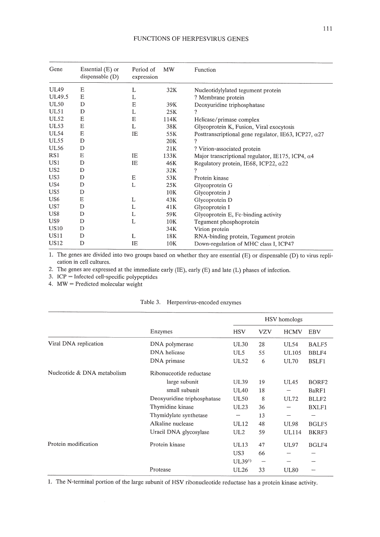| Gene            | Essential $(E)$ or<br>dispensable (D) | Period of<br>expression | <b>MW</b> | Function                                                     |
|-----------------|---------------------------------------|-------------------------|-----------|--------------------------------------------------------------|
| <b>UL49</b>     | E                                     | L                       | 32K       | Nucleotidylylated tegument protein                           |
| UL49.5          | E                                     | L                       |           | ? Membrane protein                                           |
| <b>UL50</b>     | D                                     | Ε                       | 39K       | Deoxyuridine triphosphatase                                  |
| <b>UL51</b>     | D                                     | L                       | 25K       | ?                                                            |
| <b>UL52</b>     | Ε                                     | E                       | 114K      | Helicase/primase complex                                     |
| UL53            | Ε                                     | L                       | 38K       | Glycoprotein K, Fusion, Viral exocytosis                     |
| <b>UL54</b>     | Ε                                     | IE                      | 55K       | Posttranscriptional gene regulator, IE63, ICP27, $\alpha$ 27 |
| <b>UL55</b>     | D                                     |                         | 20K       | ?                                                            |
| <b>UL56</b>     | D                                     |                         | 21K       | ? Virion-associated protein                                  |
| RS <sub>1</sub> | Ε                                     | IE                      | 133K      | Major transcriptional regulator, IE175, ICP4, a4             |
| US <sub>1</sub> | D                                     | IE                      | 46K       | Regulatory protein, IE68, ICP22, $\alpha$ 22                 |
| US <sub>2</sub> | D                                     |                         | 32K       | 9                                                            |
| US3             | D                                     | E                       | 53K       | Protein kinase                                               |
| US <sub>4</sub> | D                                     | L                       | 25K       | Glycoprotein G                                               |
| US5             | D                                     |                         | 10K       | Glycoprotein J                                               |
| US <sub>6</sub> | Ε                                     | L                       | 43K       | Glycoprotein D                                               |
| US7             | D                                     | L                       | 41K       | Glycoprotein I                                               |
| US8             | D                                     | L                       | 59K       | Glycoprotein E, Fc-binding activity                          |
| US9             | D                                     | L                       | 10K       | Tegument phosphoprotein                                      |
| <b>US10</b>     | D                                     |                         | 34K       | Virion protein                                               |
| US11            | D                                     | L                       | 18K       | RNA-binding protein, Tegument protein                        |
| US12            | D                                     | IE                      | 10K       | Down-regulation of MHC class I, ICP47                        |

1. The genes are divided into two groups based on whether they are essential (E) or dispensable (D) to virus replication in cell cultures.

2. The genes are expressed at the immediate early (IE), early (E) and late (L) phases of infection.

3. ICP = Infected cell-specific polypeptides

4. MW = Predicted molecular weight

|  | Table 3. Herpesvirus-encoded enzymes |
|--|--------------------------------------|
|  |                                      |

|                             |                             | HSV homologs      |            |              |                   |
|-----------------------------|-----------------------------|-------------------|------------|--------------|-------------------|
|                             | Enzymes                     | <b>HSV</b>        | <b>VZV</b> | <b>HCMV</b>  | EBV               |
| Viral DNA replication       | DNA polymerase              | UL30              | 28         | <b>UL54</b>  | BALF5             |
|                             | DNA helicase                | UL5               | 55         | <b>UL105</b> | BBLF4             |
|                             | DNA primase                 | <b>UL52</b>       | 6          | <b>UL70</b>  | <b>BSLF1</b>      |
| Nucleotide & DNA metabolism | Ribonuceotide reductase     |                   |            |              |                   |
|                             | large subunit               | <b>UL39</b>       | 19         | <b>UL45</b>  | BORF <sub>2</sub> |
|                             | small subunit               | <b>UL40</b>       | 18         |              | BaRF1             |
|                             | Deoxyuridine triphosphatase | <b>UL50</b>       | 8          | UL72         | BLLF2             |
|                             | Thymidine kinase            | <b>UL23</b>       | 36         | --           | BXLF1             |
|                             | Thymidylate synthetase      |                   | 13         | -            | -                 |
|                             | Alkaline nuclease           | <b>UL12</b>       | 48         | <b>UL98</b>  | BGLF5             |
|                             | Uracil DNA glycosylase      | UL2               | 59         | <b>UL114</b> | BKRF3             |
| Protein modification        | Protein kinase              | UL13              | 47         | <b>UL97</b>  | BGLF4             |
|                             |                             | US <sub>3</sub>   | 66         |              |                   |
|                             |                             | UL39 <sup>1</sup> |            |              |                   |
|                             | Protease                    | UL26              | 33         | <b>UL80</b>  |                   |

1. The N-terminal portion of the large subunit of HSV ribonucleotide reductase has a protein kinase activity.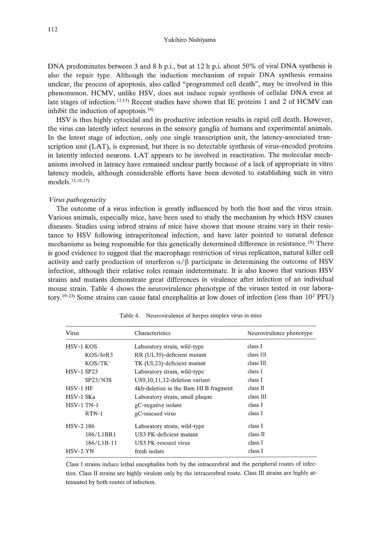DNA predominates between 3 and 8 h p.i., but at 12 h p.i. about 50% of viral DNA synthesis is also the repair type. Although the induction mechanism of repair DNA synthesis remains unclear, the process of apoptosis, also called "programmed cell death", may be involved in this phenomenon. HCMV, unlike HSV, does not induce repair synthesis of cellular DNA even at late stages of infection.<sup>12,13)</sup> Recent studies have shown that IE proteins 1 and 2 of HCMV can inhibit the induction of apoptosis. 14)

HSV is thus highly cytocidal and its productive infection results in rapid cell death. However, the virus can latently infect neurons in the sensory ganglia of humans and experimental animals. In the latent stage of infection, only one single transcription unit, the latency-associated transcription unit (LAT), is expressed, but there is no detectable synthesis of virus-encoded proteins in latently infected neurons. LAT appears to be involved in reactivation. The molecular mechanisms involved in latency have remained unclear partly because of a lack of appropriate in vitro latency models, although considerable efforts have been devoted to establishing such in vitro models. 15,16,17)

### *Virus pathogenicity*

The outcome of a virus infection is greatly influenced by both the host and the virus strain. Various animals, especially mice, have been used to study the mechanism by which HSV causes diseases. Studies using inbred strains of mice have shown that mouse strains vary in their resistance to HSV following intraperitoneal infection, and have later pointed to natural defence mechanisms as being responsible for this genetically determined difference in resistance. 18) There is good evidence to suggest that the macrophage restriction of virus replication, natural killer cell activity and early production of interferon  $\alpha/\beta$  participate in determining the outcome of HSV infection, although their relative roles remain indeterminate. It is also known that various HSV strains and mutants demonstrate great differences in virulence after infection of an individual mouse strain. Table 4 shows the neurovirulence phenotype of the viruses tested in our laboratory.<sup>19-23)</sup> Some strains can cause fatal encephalitis at low doses of infection (less than  $10^2$  PFU)

| Virus             | Characteristics                       | Neurovirulence phenotype |  |  |
|-------------------|---------------------------------------|--------------------------|--|--|
| <b>HSV-1 KOS</b>  | Laboratory strain, wild-type          | class I                  |  |  |
| KOS/hrR3          | RR (UL39)-deficient mutant            | class III                |  |  |
| $KOS/TK^-$        | TK (UL23)-deficient mutant            | class III                |  |  |
| <b>HSV-1 SP23</b> | Laboratory strain, wild-type          | class I                  |  |  |
| SP23/N38          | US9.10.11.12-deletion variant         | class I                  |  |  |
| HSV-1 HF          | 4kb-deletion in the Bam HI B fragment | class II                 |  |  |
| HSV-1 SKa         | Laboratory strain, small plaque       | class III                |  |  |
| $HSV-1$ TN-1      | gC-negative isolate                   | class I                  |  |  |
| $RTN-1$           | gC-rescued virus                      | class I                  |  |  |
| HSV-2 186         | Laboratory strain, wild-type          | class I                  |  |  |
| 186/L1BR1         | US3 PK-deficient mutant               | class II                 |  |  |
| 186/L1B-11        | US3 PK-rescued virus                  | class I                  |  |  |
| HSV-2 YN          | fresh isolate                         | class I                  |  |  |

Table 4. Neurovirulence of herpes simplex virus in mice

Class I strains induce lethal encephalitis both by the intracerebral and the peripheral routes of infection. Class II strains are highly virulent only by the intracerebral route. Class III strains are highly attenuated by both routes of infection.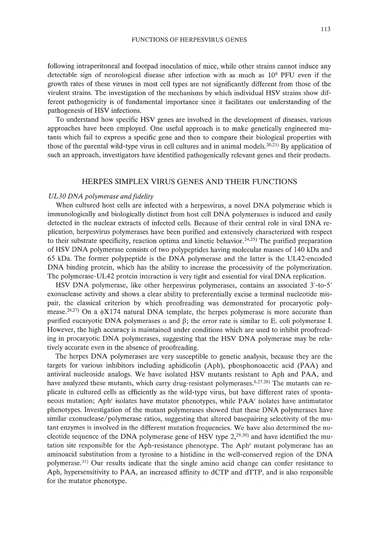#### FUNCTIONS OF HERPESVIRUS GENES

following intraperitoneal and footpad inoculation of mice, while other strains cannot induce any detectable sign of neurological disease after infection with as much as 108 PFU even if the growth rates of these viruses in most cell types are not significantly different from those of the virulent strains. The investigation of the mechanisms by which individual HSV strains show different pathogenicity is of fundamental importance since it facilitates our understanding of the pathogenesis of HSV infections.

To understand how specific HSV genes are involved in the development of diseases, various approaches have been employed. One useful approach is to make genetically engineered mutants which fail to express a specific gene and then to compare their biological properties with those of the parental wild-type virus in cell cultures and in animal models.<sup>20,21)</sup> By application of such an approach, investigators have identified pathogenically relevant genes and their products.

# HERPES SIMPLEX VIRUS GENES AND THEIR FUNCTIONS

## *UL30 DNA polymerase and fidelity*

When cultured host cells are infected with a herpesvirus, a novel DNA polymerase which is immunologically and biologically distinct from host cell DNA polymerases is induced and easily detected in the nuclear extracts of infected cells. Because of their central role in viral DNA replication, herpesvirus polymerases have been purified and extensively characterized with respect to their substrate specificity, reaction optima and kinetic behavior.<sup>24,25)</sup> The purified preparation of HSV DNA polymerase consists of two polypeptides having molecular masses of 140 kDa and 65 kDa. The former polypeptide is the DNA polymerase and the latter is the UL42-encoded DNA binding protein, which has the ability to increase the processivity of the polymerization. The polymerase-UL42 protein interaction is very tight and essential for viral DNA replication.

HSV DNA polymerase, like other herpesvirus polymerases, contains an associated 3'-to-5' exonuclease activity and shows a clear ability to preferentially excise a terminal nucleotide mispair, the classical criterion by which proofreading was demonstrated for procaryotic polymease.<sup>26,27)</sup> On a  $\phi$ X174 natural DNA template, the herpes polymerase is more accurate than purified eucaryotic DNA polymerases  $\alpha$  and  $\beta$ ; the error rate is similar to E. coli polymerase I. However, the high accuracy is maintained under conditions which are used to inhibit proofreading in procaryotic DNA polymerases, suggesting that the HSV DNA polymerase may be relatively accurate even in the absence of proofreading.

The herpes DNA polymerases are very susceptible to genetic analysis, because they are the targets for various inhibitors including aphidicolin (Aph), phosphonoacetic acid (PAA) and antiviral nucleoside analogs. We have isolated HSV mutants resistant to Aph and PAA, and have analyzed these mutants, which carry drug-resistant polymerases.<sup>6,27,28)</sup> The mutants can replicate in cultured cells as efficiently as the wild-type virus, but have different rates of spontaneous mutation; Aph' isolates have mutator phenotypes, while PAA' isolates have antimutator phenotypes. Investigation of the mutant polymerases showed that these DNA polymerases have similar exonuclease/polymerase ratios, suggesting that altered basepairing selectivity of the mutant enzymes is involved in the different mutation frequencies. We have also determined the nucleotide sequence of the DNA polymerase gene of HSV type  $2,^{29,30}$  and have identified the mutation site responsible for the Aph-resistance phenotype. The Aph' mutant polymerase has an aminoacid substitution from a tyrosine to a histidine in the well-conserved region of the DNA polymerase. <sup>31</sup> ) Our results indicate that the single amino acid change can confer resistance to Aph, hypersensitivity to PAA, an increased affinity to dCTP and dTIP, and is also responsible for the mutator phenotype.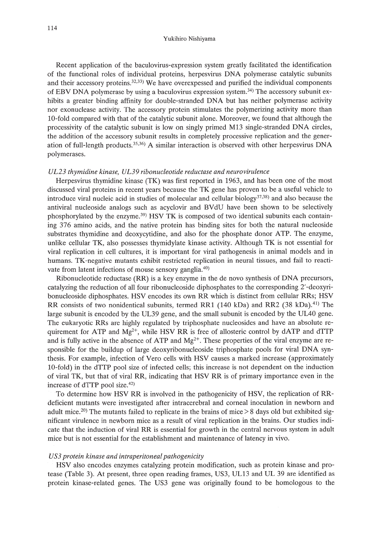Recent application of the baculovirus-expression system greatly facilitated the identification of the functional roles of individual proteins, herpesvirus DNA polymerase catalytic subunits and their accessory proteins. $32,33$ ) We have overexpessed and purified the individual components of EBV DNA polymerase by using a baculovirus expression system.<sup>34)</sup> The accessory subunit exhibits a greater binding affinity for double-stranded DNA but has neither polymerase activity nor exonuclease activity. The accessory protein stimulates the polymerizing activity more than lO-fold compared with that of the catalytic subunit alone. Moreover, we found that although the processivity of the catalytic subunit is low on singly primed M13 single-stranded DNA circles, the addition of the accessory subunit results in completely processive replication and the generation of full-length products. $35,36$ ) A similar interaction is observed with other herpesvirus DNA polymerases.

## *UL23 thymidine kinase, UL39 ribonucleotide reductase and neurovirulence*

Herpesvirus thymidine kinase (TK) was first reported in 1963, and has been one of the most discussed viral proteins in recent years because the TK gene has proven to be a useful vehicle to introduce viral nucleic acid in studies of molecular and cellular biology<sup>37,38</sup>) and also because the antiviral nucleoside analogs such as acyclovir and BVdU have been shown to be selectively phosphorylated by the enzyme.39) HSV TK is composed of two identical subunits each containing 376 amino acids, and the native protein has binding sites for both the natural nucleoside substrates thymidine and deoxycytidine, and also for the phosphate donor ATP. The enzyme, unlike cellular TK, also possesses thymidylate kinase activity. Although TK is not essential for viral replication in cell cultures, it is important for viral pathogenesis in animal models and in humans. TK-negative mutants exhibit restricted replication in neural tissues, and fail to reactivate from latent infections of mouse sensory ganglia.40)

Ribonucleotide reductase (RR) is a key enzyme in the de novo synthesis of DNA precursors, catalyzing the reduction of all four ribonucleoside diphosphates to the corresponding 2'-deoxyribonucleoside diphosphates. HSV encodes its own RR which is distinct from cellular RRs; HSV RR consists of two nonidentical subunits, termed RR1 (140 kDa) and RR2 (38 kDa).<sup>41)</sup> The large subunit is encoded by the UL39 gene, and the small subunit is encoded by the UL40 gene. The eukaryotic RRs are highly regulated by triphosphate nucleosides and have an absolute requirement for ATP and  $Mg^{2+}$ , while HSV RR is free of allosteric control by dATP and dTTP and is fully active in the absence of ATP and  $Mg^{2+}$ . These properties of the viral enzyme are responsible for the buildup of large deoxyribonucleoside triphosphate pools for viral DNA synthesis. For example, infection of Vero cells with HSV causes a marked increase (approximately 10-fold) in the dTTP pool size of infected cells; this increase is not dependent on the induction of viral TK, but that of viral RR, indicating that HSV RR is of primary importance even in the increase of dTTP pool size.42)

To determine how HSV RR is involved in the pathogenicity of HSV, the replication of RRdeficient mutants were investigated after intracerebral and corneal inoculation in newborn and adult mice.<sup>20)</sup> The mutants failed to replicate in the brains of mice  $> 8$  days old but exhibited significant virulence in newborn mice as a result of viral replication in the brains. Our studies indicate that the induction of viral RR is essential for growth in the central nervous system in adult mice but is not essential for the establishment and maintenance of latency in vivo.

## *US3 protein kinase and intraperitoneal pathogenicity*

HSV also encodes enzymes catalyzing protein modification, such as protein kinase and protease (Table 3). At present, three open reading frames, US3, UL13 and UL 39 are identified as protein kinase-related genes. The US3 gene was originally found to be homologous to the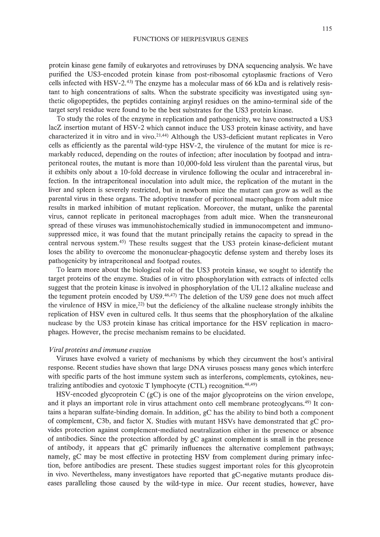protein kinase gene family of eukaryotes and retroviruses by DNA sequencing analysis. We have purified the US3-encoded protein kinase from post-ribosomal cytoplasmic fractions of Vero cells infected with HSV-2.<sup>43)</sup> The enzyme has a molecular mass of 66 kDa and is relatively resistant to high concentrations of salts. When the substrate specificity was investigated using synthetic oligopeptides, the peptides containing arginyl residues on the amino-terminal side of the target seryl residue were found to be the best substrates for the US3 protein kinase.

To study the roles of the enzyme in replication and pathogenicity, we have constructed a US3 lacZ insertion mutant of HSV-2 which cannot induce the US3 protein kinase activity, and have characterized it in vitro and in vivo.<sup>21,44</sup> Although the US3-deficient mutant replicates in Vero cells as efficiently as the parental wild-type HSV-2, the virulence of the mutant for mice is remarkably reduced, depending on the routes of infection; after inoculation by footpad and intraperitoneal routes, the mutant is more than 1O,OOO-fold less virulent than the parental virus, but it exhibits only about a lO-fold decrease in virulence following the ocular and intracerebral infection. In the intraperitoneal inoculation into adult mice, the replication of the mutant in the liver and spleen is severely restricted, but in newborn mice the mutant can grow as well as the parental virus in these organs. The adoptive transfer of peritoneal macrophages from adult mice results in marked inhibition of mutant replication. Moreover, the mutant, unlike the parental virus, cannot replicate in peritoneal macrophages from adult mice. When the transneuronal spread of these viruses was immunohistochemically studied in immunocompetent and immunosuppressed mice, it was found that the mutant principally retains the capacity to spread in the central nervous system.45) These results suggest that the US3 protein kinase-deficient mutant loses the ability to overcome the mononuclear-phagocytic defense system and thereby loses its pathogenicity by intraperitoneal and footpad routes.

To learn more about the biological role of the US3 protein kinase, we sought to identify the target proteins of the enzyme. Studies of in vitro phosphorylation with extracts of infected cells suggest that the protein kinase is involved in phosphorylation of the UL12 alkaline nuclease and the tegument protein encoded by  $US9,46,47$ ) The deletion of the US9 gene does not much affect the virulence of HSV in mice,<sup>22)</sup> but the deficiency of the alkaline nuclease strongly inhibits the replication of HSV even in cultured cells. It thus seems that the phosphorylation of the alkaline nuclease by the US3 protein kinase has critical importance for the HSV replication in macrophages. However, the precise mechanism remains to be elucidated.

# *Viral proteins and immune evasion*

Viruses have evolved a variety of mechanisms by which they circumvent the host's antiviral response. Recent studies have shown that large DNA viruses possess many genes which interfere with specific parts of the host immune system such as interferons, complements, cytokines, neutralizing antibodies and cyotoxic T lymphocyte  $(CTL)$  recognition.<sup>48,49)</sup>

HSV-encoded glycoprotein C  $(gC)$  is one of the major glycoproteins on the virion envelope, and it plays an important role in virus attachment onto cell membrane proteoglycans.49) It contains a heparan sulfate-binding domain, In addition, gC has the ability to bind both a component of complement, C3b, and factor X. Studies with mutant HSVs have demonstrated that gC provides protection against complement-mediated neutralization either in the presence or absence of antibodies. Since the protection afforded by gC against complement is small in the presence of antibody, it appears that gC primarily influences the alternative complement pathways; namely, gC may be most effective in protecting HSV from complement during primary infection, before antibodies are present. These studies suggest important roles for this glycoprotein in vivo, Nevertheless, many investigators have reported that gC-negative mutants produce diseases paralleling those caused by the wild-type in mice. Our recent studies, however, have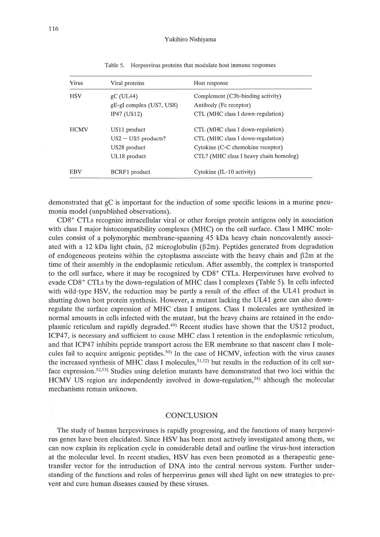| <b>Virus</b> | Viral proteins           | Host response                          |  |  |
|--------------|--------------------------|----------------------------------------|--|--|
| <b>HSV</b>   | $\rm g$ C (UL44)         | Complement (C3b-binding activity)      |  |  |
|              | gE-gI complex (US7, US8) | Antibody (Fc receptor)                 |  |  |
|              | IP47 (US12)              | CTL (MHC class I down-regulation)      |  |  |
| <b>HCMV</b>  | US11 product             | CTL (MHC class I down-regulation)      |  |  |
|              | $US2 - US5$ products?    | CTL (MHC class I down-regulation)      |  |  |
|              | US28 product             | Cytokine (C-C chemokine receptor)      |  |  |
|              | UL18 product             | CTL? (MHC class I heavy chain homolog) |  |  |
| <b>EBV</b>   | BCRF1 product            | Cytokine (IL-10 activity)              |  |  |

Table 5. Herpesvirus proteins that modulate host immune responses

demonstrated that gC is important for the induction of some specific lesions in a murine pneumonia model (unpublished observations).

CD8+ CTLs recognize intracellular viral or other foreign protein antigens only in association with class I major histocompatibility complexes (MHC) on the cell surface. Class I MHC molecules consist of a polymorphic membrane-spanning 45 kDa heavy chain noncovalently associated with a 12 kDa light chain,  $\beta$ 2 microglobulin ( $\beta$ 2m). Peptides generated from degradation of endogeneous proteins within the cytoplasma associate with the heavy chain and  $\beta$ 2m at the time of their assembly in the endoplasmic reticulum. After assembly, the complex is transported to the cell surface, where it may be recognized by CD8+ CTLs. Herpesviruses have evolved to evade CD8+ CTLs by the down-regulation of MHC class I complexes (Table 5). In cells infected with wild-type HSV, the reduction may be partly a result of the effect of the UL41 product in shutting down host protein synthesis. However, a mutant lacking the UL41 gene can also downregulate the surface expression of MHC class I antigens. Class I molecules are synthesized in normal amounts in cells infected with the mutant, but the heavy chains are retained in the endoplasmic reticulum and rapidly degraded.49) Recent studies have shown that the US12 product, ICP47, is necessary and sufficient to cause MHC class I retention in the endoplasmic reticulum, and that ICP47 inhibits peptide transport across the ER membrane so that nascent class I molecules fail to acquire antigenic peptides.50) In the case of HCMV, infection with the virus causes the increased synthesis of MHC class I molecules,  $51,52$ ) but results in the reduction of its cell surface expression.52,53) Studies using deletion mutants have demonstrated that two loci within the HCMV US region are independently involved in down-regulation,<sup>54)</sup> although the molecular mechanisms remain unknown.

# **CONCLUSION**

The study of human herpesviruses is rapidly progressing, and the functions of many herpesvirus genes have been elucidated. Since HSV has been most actively investigated among them, we can now explain its replication cycle in considerable detail and outline the virus-host interaction at the molecular level. In recent studies, HSV has even been promoted as a therapeutic genetransfer vector for the introduction of DNA into the central nervous system. Further understanding of the functions and roles of herpesvirus genes will shed light on new strategies to prevent and cure human diseases caused by these viruses.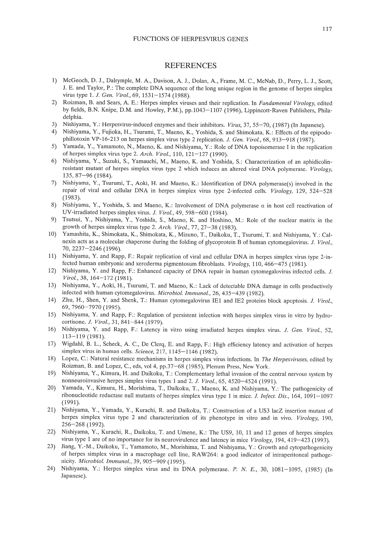## **REFERENCES**

- 1) McGeoch, D. J., Dalrymple, M. A., Davison, A. J., Dolan, A., Frame, M. C., McNab, D., Perry, L. J., Scott, 1. E. and Taylor, P.: The complete DNA sequence of the long unique region in the genome of herpes simplex virus type 1. J. *Gen. Virol.,* 69,1531-1574 (1988).
- 2) Roizman, B. and Sears, A. E.: Herpes simplex viruses and their replication. In *Fundamental Virology,* edited by fields, B.N. Knipe, D.M. and Howley, P.M.), pp.1043-1107 (1996), Lippincott-Raven Publishers, Philadelphia.
- 3) Nishiyama, Y.: Herpesvirus-induced enzymes and their inhibitors. *Virus,* 37, 55-70, (1987) (In Japanese).
- 4) Nishiyama, Y., Fujioka, H., Tsurumi, T., Maeno, K., Yoshida, S. and Shimokata, K: Effects of the epipodophillotoxin VP-16-213 on herpes simplex virus type 2 replication. J. *Gen. Viral.,* 68, 913-918 (1987).
- 5) Yamada, Y., Yamamoto, N., Maeno, K and Nishiyama, Y.: Role of DNA topoisomerase I in the replication of herpes simplex virus type 2. *Arch. Viral.,* 110, 121-127 (1990).
- 6) Nishiyama, Y., Suzuki, S., Yamauchi, M., Maeno, K. and Yoshida, S.: Characterization of an aphidicolinresistant mutant of herpes simplex virus type 2 which induces an altered viral DNA polymerase. *Virology,* 135,87-96 (1984).
- 7) Nishiyama, Y., Tsurumi, T., Aoki, H. and Maeno, K.: Identification of DNA polymerase(s) involved in the repair of viral and cellular DNA in herpes simplex virus type 2-infected cells. *Virology,* 129, 524-528 (1983).
- 8) Nishiyama, Y., Yoshida, S. and Maeno, K.: Involvement of DNA polymerase  $\alpha$  in host cell reactivation of UV-irradiated herpes simplex virus. J. *Viral.,* 49, 598-600 (1984).
- 9) Tsutsui, Y., Nishiyama, Y., Yoshida, S., Maeno, K and Hoshino, M.: Role of the nuclear matrix in the growth of herpes simplex virus type 2. *Arch. Viral.,* 77, 27-38 (1983).
- 10) Yamashita, K, Shimokata, K., Shimokata, K., Mizuno, T., Daikoku, T., Tsurumi, T. and Nishiyama, Y.: Calnexin acts as a molecular chaperone during the folding of glycoprotein B of human cytomegalovirus. J. *Viral.,* 70,2237-2246 (1996).
- 11) Nishiyama, Y. and Rapp, F.: Repair replication of viral and cellular DNA in herpes simplex virus type 2-infected human embryonic and xeroderma pigmentosum fibroblasts. *Virology,* 110,466-475 (1981).
- 12) Nishiyama, Y. and Rapp, F.: Enhanced capacity of DNA repair in human cytomegalovirus infected cells. J. *Virol.,* 38,164-172 (1981).
- 13) Nishiyama, Y., Aoki, H., Tsurumi, T. and Maeno, K: Lack of detectable DNA damage in cells productively infected with human cytomegalovirus. *Microbial. Immunol.,* 26,435-439 (1982).
- 14) Zhu, H., Shen, Y. and Shenk, T.: Human cytomegalovirus lEI and IE2 proteins block apoptosis. 1. *Viral.,* 69,7960-7970 (1995).
- 15) Nishiyama, Y. and Rapp, F.: Regulation of persistent infection with herpes simplex virus in vitro by hydrocortisone. J. *Viral.,* 31, 841-844 (1979).
- 16) Nishiyama, Y. and Rapp, F.: Latency in vitro using irradiated herpes simplex virus. J. *Gen. Viral., 52,* 113-119 (1981).
- 17) Wigdahl, B. L., Scheck, A. c., De Clerq, E. and Rapp, F.: High efficiency latency and activation of herpes simplex virus in human cells. *Science,* 217,1145-1146 (1982).
- 18) Lopez, c.: Natural resistance mechanisms in herpes simplex virus infections. In *The Herpes viruses,* edited by Roizman, B. and Lopez, C., eds, vol 4, pp.37-68 (1985), Plenum Press, New York.
- 19) Nishiyama, Y., Kimura, H. and Daikoku, T.: Complementary lethal invasion of the central nervous system by nonneuroinvasive herpes simplex virus types 1 and 2. J. *Virol.,* 65, 4520-4524 (1991).
- 20) Yamada, Y., Kimura, H., Morishima, T., Daikoku, T., Maeno, K. and Nishiyama, Y.: The pathogenicity of ribonucleotide reductase null mutants of herpes simplex virus type 1 in mice. J. *Infect. Dis.,* 164, 1091-1097 (1991).
- 21) Nishiyama, Y., Yamada, Y., Kurachi, R. and Daikoku, T.: Construction of a US3 lacZ insertion mutant of herpes simplex virus type 2 and characterization of its phenotype in vitro and in vivo. *Virology, 190,* 256-268 (1992).
- 22) Nishiyama, Y., Kurachi, R., Daikoku, T. and Umene, K.: The US9, 10, 11 and 12 genes of herpes simplex virus type 1 are of no importance for its neurovirulence and latency in mice *Virology,* 194,419-423 (1993).
- 23) Jiang, Y.-M., Daikoku, T., Yamamoto, M., Morishima, T. and Nishiyama, Y.: Growth and cytopathogenicity of herpes simplex virus in a macrophage cell line, RAW264: a good indicator of intraperitoneal pathogenicity. *Microbial. Immunol.,* 39, 905-909 (1995).
- 24) Nishiyama, Y.: Herpes simplex virus and its DNA polymerase. P. *N.* E., 30, 1081-1095, (1985) (In Japanese).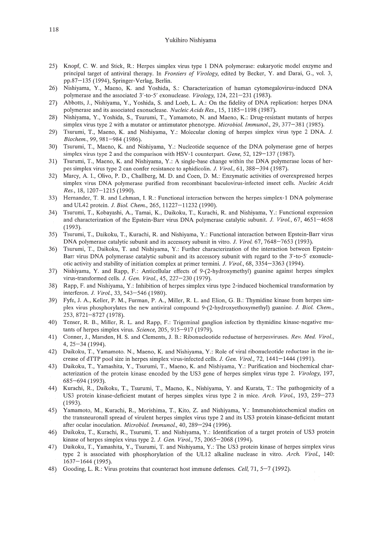- 25) Knopf, C. W. and Stick, R.: Herpes simplex virus type 1 DNA polymerase: eukaryotic model enzyme and principal target of antiviral therapy. In *Frontiers of Virology,* edited by Becker, Y. and Darai, G., vol. 3, pp.87-135 (1994), Springer-Verlag, Berlin.
- 26) Nishiyama, Y., Maeno, K. and Yoshida, S.: Characterization of human cytomegalovirus-induced DNA polymerase and the associated 3'-to-5' exonuclease. *Virology,* 124, 221-231 (1983).
- 27) Abbotts, 1., Nishiyama, Y, Yoshida, S. and Loeb, L. A.: On the fidelity of DNA replication: herpes DNA polymerase and its associated exonuclease. *Nucleic Acids Res.,* 15, 1185-1198 (1987).
- 28) Nishiyama, Y., Yoshida, S., Tsurumi, T., Yamamoto, N. and Maeno, K.: Drug-resistant mutants of herpes simplex virus type 2 with a mutator or antimutator phenotype. *Microbial. lrnrnunol.,* 29, 377-381 (1985).
- 29) Tsurumi, T., Maeno, K. and Nishiyama, Y.: Molecular cloning of herpes simplex virus type 2 DNA. J. *Biochern.,* 99, 981-984 (1986).
- 30) Tsurumi, T., Maeno, K. and Nishiyama, Y.: Nucleotide sequence of the DNA polymerase gene of herpes simplex virus type 2 and the comparison with HSV-1 counterpart. *Gene,* 52,129-137 (1987).
- 31) Tsurumi, T., Maeno, K. and Nishiyama, Y: A single-base change within the DNA polymerase locus of herpes simplex virus type 2 can confer resistance to aphidicolin. J. *Viral.,* 61, 388-394 (1987).
- 32) Marcy, A. I., Olivo, P. D., Challberg, M. D. and Coen, D. M.: Enzymatic activities of overexpressed herpes simplex virus DNA polymerase purified from recombinant baculovirus-infected insect cells. *Nucleic Acids Res.,* 18, 1207-1215 (1990).
- 33) Hernandez, T R. and Lehman, I. R: Functional interaction between the herpes simplex-1 DNA polymerase and UL42 protein. J. *BioI. Chern.,* 265, 11227-11232 (1990).
- 34) Tsurumi, T., Kobayashi, A., Tarnai, K., Daikoku, T., Kurachi, R. and Nishiyama, Y.: Functional expression and characterization of the Epstein-Barr virus DNA polymerase catalytic subunit. J. *Viral.,* 67, 4651-4658 (1993).
- 35) Tsurumi, T., Daikoku, T., Kurachi, R. and Nishiyama, Y.: Functional interaction between Epstein-Barr virus DNA polymerase catalytic subunit and its accessory subunit in vitro. *J. Virol.* 67, 7648-7653 (1993).
- 36) Tsurumi, T., Daikoku, T. and Nishiyama, Y: Further characterization of the interaction between Epstein-Barr virus DNA polymerase catalytic subunit and its accessory subunit with regard to the 3'-to-5' exonucleotic activity and stability of initiation complex at primer termini. J. *Viral.,* 68, 3354-3363 (1994).
- 37) Nishiyama, Y. and Rapp, F.: Anticellular effects of 9-(2-hydroxymethyl) guanine against herpes simplex virus-transformed cells. J. *Gen. Viral.,* 45, 227-230 (1979).
- 38) Rapp, F. and Nishiyama, Y.: Inhibition of herpes simplex virus type 2-induced biochemical transformation by interferon. J. *Viral.,* 33, 543-546 (1980).
- 39) Fyfe, J. A., Keller, P. M., Furman, P. A., Miller, R L. and Elion, G. 8.: Thymidine kinase from herpes simplex virus phosphorylates the new antiviral compound 9-(2-hydroxyethoxymethyl) guanine. J. *Bioi. Chern.,* 253,8721-8727(1978).
- 40) Tenser, R 8., Miller, R. L. and Rapp, F.: Trigeminal ganglion infection by thymidine kinase-negative mutants of herpes simplex virus. *Science,* 205, 915-917 (1979).
- 41) Conner, J., Marsden, H. S. and Clements, J. 8.: Ribonucleotide reductase of herpesviruses. *Rev. Med. Viral.,* 4,25-34 (1994).
- 42) Daikoku, T., Yamamoto. N., Maeno, K. and Nishiyama, Y: Role of viral ribonucleotide reductase in the increase of dTTP pool size in herpes simplex virus-infected cells. J. *Gen. Viral.,* 72, 1441-1444 (1991).
- 43) Daikoku, T., Yamashita, Y, Tsurumi, T., Maeno, K. and Nishiyama, Y: Purification and biochemical characterization of the protein kinase encoded by the US3 gene of herpes simplex virus type 2. *Virology, 197,* 685-694 (1993).
- 44) Kurachi, R., Daikoku, T., Tsurumi, T., Maeno, K., Nishiyama, Y and Kurata, T: The pathogenicity of a US3 protein kinase-deficient mutant of herpes simplex virus type 2 in mice. *Arch. Viral.,* 193, 259-273 (1993).
- 45) Yamamoto, M., Kurachi, R., Morishima, T, Kito, Z. and Nishiyama, Y.: Immunohistochemical studies on the transneuronall spread of virulent herpes simplex virus type 2 and its US3 protein kinase-deficient mutant after ocular inoculation. *Microbial. lrnrnunol.,* 40, 289-294 (1996).
- 46) Daikoku, T., Kurachi, R., Tsurumi, T. and Nishiyama, Y.: Identification of a target protein of US3 protein kinase of herpes simplex virus type 2. J. *Gen. Viral.,* 75, 2065-2068 (1994).
- 47) Daikoku, T., Yamashita, Y, Tsurumi, T. and Nishiyama, Y.: The US3 protein kinase of herpes simplex virus type 2 is associated with phosphorylation of the UL12 alkaline nuclease in vitro. *Arch. Viral.,* 140: 1637-1644 (1995).
- 48) Gooding, L. R.: Virus proteins that counteract host immune defenses. *Cell,* 71, 5-7 (1992).